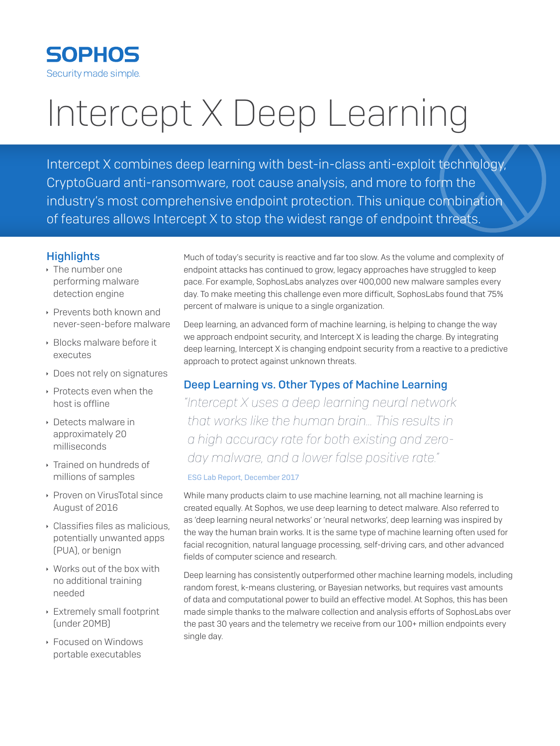

# Intercept X Deep Learning

Intercept X combines deep learning with best-in-class anti-exploit technology, CryptoGuard anti-ransomware, root cause analysis, and more to form the industry's most comprehensive endpoint protection. This unique combination of features allows Intercept X to stop the widest range of endpoint threats.

## **Highlights**

- $\cdot$  The number one performing malware detection engine
- **Prevents both known and** never-seen-before malware
- **Blocks malware before it** executes
- **Does not rely on signatures**
- $\rightarrow$  Protects even when the host is offline
- **Detects malware in** approximately 20 milliseconds
- **Trained on hundreds of** millions of samples
- ▶ Proven on VirusTotal since August of 2016
- $\cdot$  Classifies files as malicious. potentially unwanted apps (PUA), or benign
- **Works out of the box with** no additional training needed
- $\rightarrow$  Extremely small footprint (under 20MB)
- ▶ Focused on Windows portable executables

Much of today's security is reactive and far too slow. As the volume and complexity of endpoint attacks has continued to grow, legacy approaches have struggled to keep pace. For example, SophosLabs analyzes over 400,000 new malware samples every day. To make meeting this challenge even more difficult, SophosLabs found that 75% percent of malware is unique to a single organization.

Deep learning, an advanced form of machine learning, is helping to change the way we approach endpoint security, and Intercept X is leading the charge. By integrating deep learning, Intercept X is changing endpoint security from a reactive to a predictive approach to protect against unknown threats.

## Deep Learning vs. Other Types of Machine Learning

*"Intercept X uses a deep learning neural network that works like the human brain… This results in a high accuracy rate for both existing and zeroday malware, and a lower false positive rate."*

#### ESG Lab Report, December 2017

While many products claim to use machine learning, not all machine learning is created equally. At Sophos, we use deep learning to detect malware. Also referred to as 'deep learning neural networks' or 'neural networks', deep learning was inspired by the way the human brain works. It is the same type of machine learning often used for facial recognition, natural language processing, self-driving cars, and other advanced fields of computer science and research.

Deep learning has consistently outperformed other machine learning models, including random forest, k-means clustering, or Bayesian networks, but requires vast amounts of data and computational power to build an effective model. At Sophos, this has been made simple thanks to the malware collection and analysis efforts of SophosLabs over the past 30 years and the telemetry we receive from our 100+ million endpoints every single day.